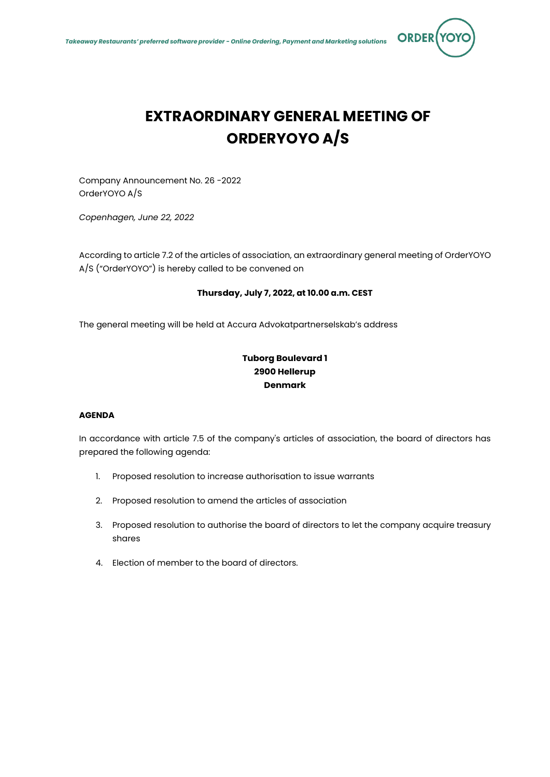

# **EXTRAORDINARY GENERAL MEETING OF ORDERYOYO A/S**

Company Announcement No. 26 -2022 OrderYOYO A/S

*Copenhagen, June 22, 2022*

According to article 7.2 of the articles of association, an extraordinary general meeting of OrderYOYO A/S ("OrderYOYO") is hereby called to be convened on

# **Thursday, July 7, 2022, at 10.00 a.m. CEST**

The general meeting will be held at Accura Advokatpartnerselskab's address

# **Tuborg Boulevard 1 2900 Hellerup Denmark**

# **AGENDA**

In accordance with article 7.5 of the company's articles of association, the board of directors has prepared the following agenda:

- 1. Proposed resolution to increase authorisation to issue warrants
- 2. Proposed resolution to amend the articles of association
- 3. Proposed resolution to authorise the board of directors to let the company acquire treasury shares
- 4. Election of member to the board of directors.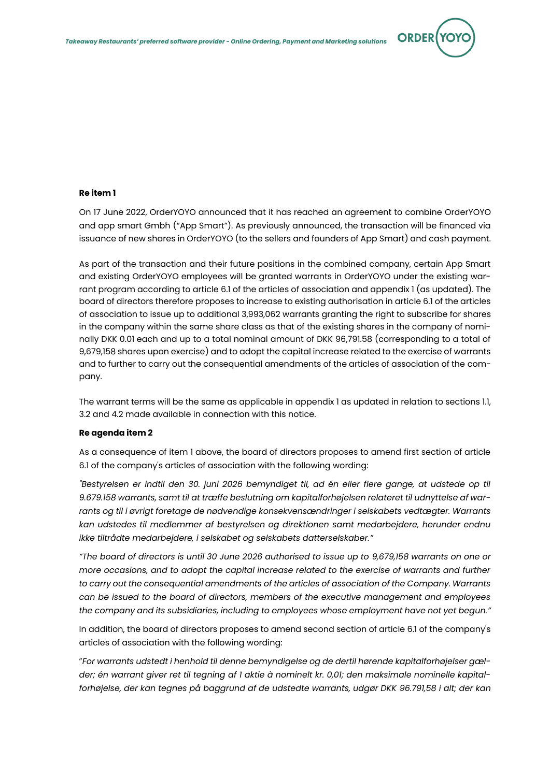

### **Re item 1**

On 17 June 2022, OrderYOYO announced that it has reached an agreement to combine OrderYOYO and app smart Gmbh ("App Smart"). As previously announced, the transaction will be financed via issuance of new shares in OrderYOYO (to the sellers and founders of App Smart) and cash payment.

As part of the transaction and their future positions in the combined company, certain App Smart and existing OrderYOYO employees will be granted warrants in OrderYOYO under the existing warrant program according to article 6.1 of the articles of association and appendix 1 (as updated). The board of directors therefore proposes to increase to existing authorisation in article 6.1 of the articles of association to issue up to additional 3,993,062 warrants granting the right to subscribe for shares in the company within the same share class as that of the existing shares in the company of nominally DKK 0.01 each and up to a total nominal amount of DKK 96,791.58 (corresponding to a total of 9,679,158 shares upon exercise) and to adopt the capital increase related to the exercise of warrants and to further to carry out the consequential amendments of the articles of association of the company.

The warrant terms will be the same as applicable in appendix 1 as updated in relation to sections 1.1, 3.2 and 4.2 made available in connection with this notice.

#### **Re agenda item 2**

As a consequence of item 1 above, the board of directors proposes to amend first section of article 6.1 of the company's articles of association with the following wording:

*"Bestyrelsen er indtil den 30. juni 2026 bemyndiget til, ad én eller flere gange, at udstede op til 9.679.158 warrants, samt til at træffe beslutning om kapitalforhøjelsen relateret til udnyttelse af warrants og til i øvrigt foretage de nødvendige konsekvensændringer i selskabets vedtægter. Warrants kan udstedes til medlemmer af bestyrelsen og direktionen samt medarbejdere, herunder endnu ikke tiltrådte medarbejdere, i selskabet og selskabets datterselskaber."*

*"The board of directors is until 30 June 2026 authorised to issue up to 9,679,158 warrants on one or more occasions, and to adopt the capital increase related to the exercise of warrants and further to carry out the consequential amendments of the articles of association of the Company. Warrants can be issued to the board of directors, members of the executive management and employees the company and its subsidiaries, including to employees whose employment have not yet begun."*

In addition, the board of directors proposes to amend second section of article 6.1 of the company's articles of association with the following wording:

"*For warrants udstedt i henhold til denne bemyndigelse og de dertil hørende kapitalforhøjelser gælder; én warrant giver ret til tegning af 1 aktie à nominelt kr. 0,01; den maksimale nominelle kapitalforhøjelse, der kan tegnes på baggrund af de udstedte warrants, udgør DKK 96.791,58 i alt; der kan*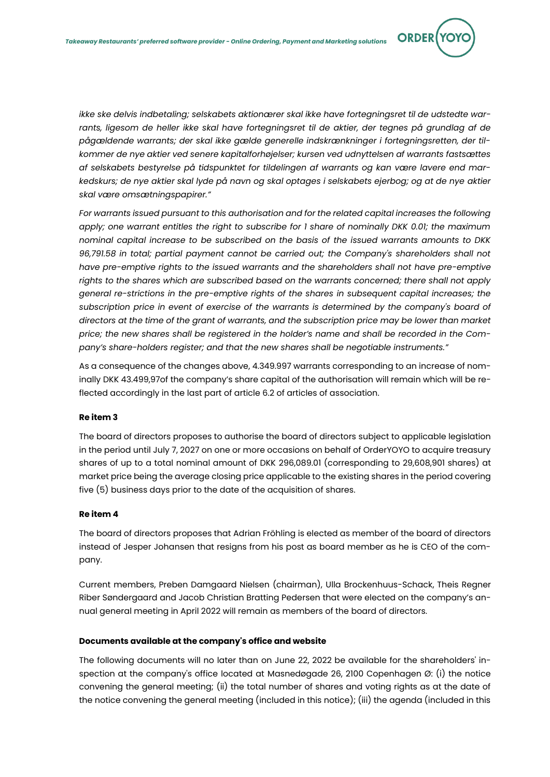*ikke ske delvis indbetaling; selskabets aktionærer skal ikke have fortegningsret til de udstedte war*rants, ligesom de heller ikke skal have fortegningsret til de aktier, der tegnes på grundlag af de *pågældende warrants; der skal ikke gælde generelle indskrænkninger i fortegningsretten, der tilkommer de nye aktier ved senere kapitalforhøjelser; kursen ved udnyttelsen af warrants fastsættes af selskabets bestyrelse på tidspunktet for tildelingen af warrants og kan være lavere end markedskurs; de nye aktier skal lyde på navn og skal optages i selskabets ejerbog; og at de nye aktier skal være omsætningspapirer."*

**ORDER** 

*For warrants issued pursuant to this authorisation and for the related capital increases the following apply; one warrant entitles the right to subscribe for 1 share of nominally DKK 0.01; the maximum nominal capital increase to be subscribed on the basis of the issued warrants amounts to DKK 96,791.58 in total; partial payment cannot be carried out; the Company's shareholders shall not*  have pre-emptive rights to the issued warrants and the shareholders shall not have pre-emptive *rights to the shares which are subscribed based on the warrants concerned; there shall not apply general re-strictions in the pre-emptive rights of the shares in subsequent capital increases; the*  subscription price in event of exercise of the warrants is determined by the company's board of *directors at the time of the grant of warrants, and the subscription price may be lower than market price; the new shares shall be registered in the holder's name and shall be recorded in the Company's share-holders register; and that the new shares shall be negotiable instruments."*

As a consequence of the changes above, 4.349.997 warrants corresponding to an increase of nominally DKK 43.499,97of the company's share capital of the authorisation will remain which will be reflected accordingly in the last part of article 6.2 of articles of association.

# **Re item 3**

The board of directors proposes to authorise the board of directors subject to applicable legislation in the period until July 7, 2027 on one or more occasions on behalf of OrderYOYO to acquire treasury shares of up to a total nominal amount of DKK 296,089.01 (corresponding to 29,608,901 shares) at market price being the average closing price applicable to the existing shares in the period covering five (5) business days prior to the date of the acquisition of shares.

# **Re item 4**

The board of directors proposes that Adrian Fröhling is elected as member of the board of directors instead of Jesper Johansen that resigns from his post as board member as he is CEO of the company.

Current members, Preben Damgaard Nielsen (chairman), Ulla Brockenhuus-Schack, Theis Regner Riber Søndergaard and Jacob Christian Bratting Pedersen that were elected on the company's annual general meeting in April 2022 will remain as members of the board of directors.

#### **Documents available at the company's office and website**

The following documents will no later than on June 22, 2022 be available for the shareholders' inspection at the company's office located at Masnedøgade 26, 2100 Copenhagen Ø: (i) the notice convening the general meeting; (ii) the total number of shares and voting rights as at the date of the notice convening the general meeting (included in this notice); (iii) the agenda (included in this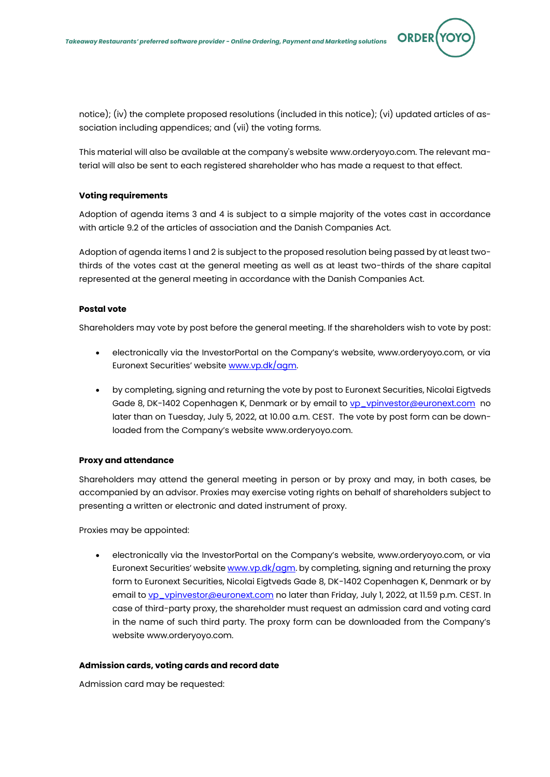

**ORDEI** 

notice); (iv) the complete proposed resolutions (included in this notice); (vi) updated articles of association including appendices; and (vii) the voting forms.

This material will also be available at the company's website www.orderyoyo.com. The relevant material will also be sent to each registered shareholder who has made a request to that effect.

# **Voting requirements**

Adoption of agenda items 3 and 4 is subject to a simple majority of the votes cast in accordance with article 9.2 of the articles of association and the Danish Companies Act.

Adoption of agenda items 1 and 2 is subject to the proposed resolution being passed by at least twothirds of the votes cast at the general meeting as well as at least two-thirds of the share capital represented at the general meeting in accordance with the Danish Companies Act.

# **Postal vote**

Shareholders may vote by post before the general meeting. If the shareholders wish to vote by post:

- electronically via the InvestorPortal on the Company's website, www.orderyoyo.com, or via Euronext Securities' website [www.vp.dk/agm.](http://www.vp.dk/agm)
- by completing, signing and returning the vote by post to Euronext Securities, Nicolai Eigtveds Gade 8, DK-1402 Copenhagen K, Denmark or by email to [vp\\_vpinvestor@euronext.com](mailto:vp_vpinvestor@euronext.com) no later than on Tuesday, July 5, 2022, at 10.00 a.m. CEST. The vote by post form can be downloaded from the Company's website www.orderyoyo.com.

# **Proxy and attendance**

Shareholders may attend the general meeting in person or by proxy and may, in both cases, be accompanied by an advisor. Proxies may exercise voting rights on behalf of shareholders subject to presenting a written or electronic and dated instrument of proxy.

Proxies may be appointed:

• electronically via the InvestorPortal on the Company's website, www.orderyoyo.com, or via Euronext Securities' website  $www.vp.dk/agm$ . by completing, signing and returning the proxy form to Euronext Securities, Nicolai Eigtveds Gade 8, DK-1402 Copenhagen K, Denmark or by email to [vp\\_vpinvestor@euronext.com](mailto:vp_vpinvestor@euronext.com) no later than Friday, July 1, 2022, at 11.59 p.m. CEST. In case of third-party proxy, the shareholder must request an admission card and voting card in the name of such third party. The proxy form can be downloaded from the Company's website www.orderyoyo.com.

# **Admission cards, voting cards and record date**

Admission card may be requested: